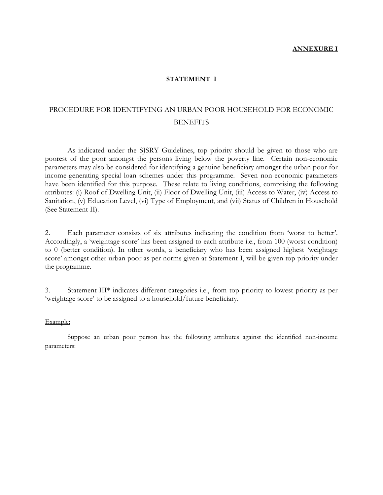#### **ANNEXURE I**

#### **STATEMENT I**

## PROCEDURE FOR IDENTIFYING AN URBAN POOR HOUSEHOLD FOR ECONOMIC **BENEFITS**

 As indicated under the SJSRY Guidelines, top priority should be given to those who are poorest of the poor amongst the persons living below the poverty line. Certain non-economic parameters may also be considered for identifying a genuine beneficiary amongst the urban poor for income-generating special loan schemes under this programme. Seven non-economic parameters have been identified for this purpose. These relate to living conditions, comprising the following attributes: (i) Roof of Dwelling Unit, (ii) Floor of Dwelling Unit, (iii) Access to Water, (iv) Access to Sanitation, (v) Education Level, (vi) Type of Employment, and (vii) Status of Children in Household (See Statement II).

2. Each parameter consists of six attributes indicating the condition from 'worst to better'. Accordingly, a 'weightage score' has been assigned to each attribute i.e., from 100 (worst condition) to 0 (better condition). In other words, a beneficiary who has been assigned highest 'weightage score' amongst other urban poor as per norms given at Statement-I, will be given top priority under the programme.

3. Statement-III\* indicates different categories i.e., from top priority to lowest priority as per 'weightage score' to be assigned to a household/future beneficiary.

#### Example:

 Suppose an urban poor person has the following attributes against the identified non-income parameters: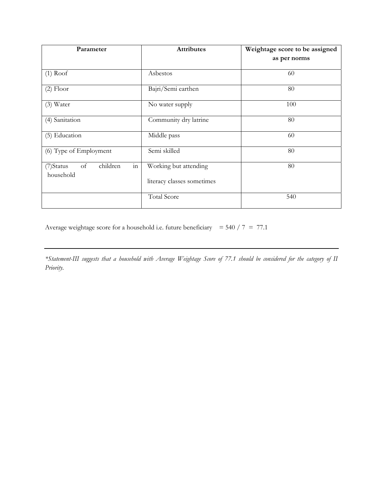| Parameter                                         | <b>Attributes</b>          | Weightage score to be assigned |  |  |
|---------------------------------------------------|----------------------------|--------------------------------|--|--|
|                                                   |                            | as per norms                   |  |  |
| $(1)$ Roof                                        | Asbestos                   | 60                             |  |  |
| $(2)$ Floor                                       | Bajri/Semi earthen         | 80                             |  |  |
| (3) Water                                         | No water supply            | 100                            |  |  |
| (4) Sanitation                                    | Community dry latrine      | 80                             |  |  |
| (5) Education                                     | Middle pass                | 60                             |  |  |
| (6) Type of Employment                            | Semi skilled               | 80                             |  |  |
| in<br>children<br>of<br>$(7)$ Status<br>household | Working but attending      | 80                             |  |  |
|                                                   | literacy classes sometimes |                                |  |  |
|                                                   | <b>Total Score</b>         | 540                            |  |  |

Average weightage score for a household i.e. future beneficiary =  $540 / 7 = 77.1$ 

*\*Statement-III suggests that a household with Average Weightage Score of 77.1 should be considered for the category of II Priority*.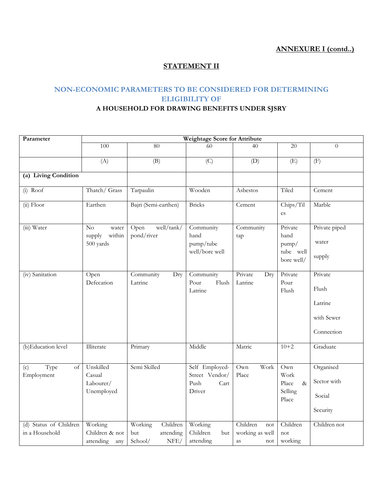## **ANNEXURE I (contd..)**

## **STATEMENT II**

## **NON-ECONOMIC PARAMETERS TO BE CONSIDERED FOR DETERMINING ELIGIBILITY OF**

## **A HOUSEHOLD FOR DRAWING BENEFITS UNDER SJSRY**

| Parameter                                |                                                | Weightage Score for Attribute                              |                                                            |                                                 |                                                     |                                                         |  |  |  |  |  |  |  |  |
|------------------------------------------|------------------------------------------------|------------------------------------------------------------|------------------------------------------------------------|-------------------------------------------------|-----------------------------------------------------|---------------------------------------------------------|--|--|--|--|--|--|--|--|
|                                          | 100                                            | 80                                                         | 60                                                         | 40                                              | 20                                                  | $\Omega$                                                |  |  |  |  |  |  |  |  |
|                                          | (A)                                            | (B)                                                        | (C)                                                        | (D)                                             | (E)                                                 | (F)                                                     |  |  |  |  |  |  |  |  |
| (a) Living Condition                     |                                                |                                                            |                                                            |                                                 |                                                     |                                                         |  |  |  |  |  |  |  |  |
| $(i)$ Roof                               | Thatch/ Grass                                  | Tarpaulin                                                  | Wooden                                                     | Asbestos                                        | Tiled                                               | Cement                                                  |  |  |  |  |  |  |  |  |
| $(ii)$ Floor                             | Earthen                                        | Bajri (Semi-earthen)                                       | <b>Bricks</b>                                              | Cement                                          | Chips/Til<br>es                                     | Marble                                                  |  |  |  |  |  |  |  |  |
| (iii) Water                              | No<br>water<br>supply<br>within<br>500 yards   | well/tank/<br>Open<br>pond/river                           | Community<br>hand<br>pump/tube<br>well/bore well           | Community<br>tap                                | Private<br>hand<br>pump/<br>tube well<br>bore well/ | Private piped<br>water<br>supply                        |  |  |  |  |  |  |  |  |
| (iv) Sanitation                          | Open<br>Defecation                             | Community<br>Dry<br>Latrine                                | Community<br>Pour<br>Flush<br>Latrine                      | Private<br>Dry<br>Latrine                       | Private<br>Pour<br>Flush                            | Private<br>Flush<br>Latrine<br>with Sewer<br>Connection |  |  |  |  |  |  |  |  |
| (b) Education level                      | Illiterate                                     | Primary                                                    | Middle                                                     | Matric                                          | $10+2$                                              | Graduate                                                |  |  |  |  |  |  |  |  |
| Type<br>(c)<br>of<br>Employment          | Unskilled<br>Casual<br>Labourer/<br>Unemployed | Semi Skilled                                               | Self Employed-<br>Street Vendor/<br>Push<br>Cart<br>Driver | Work<br>Own<br>Place                            | Own<br>Work<br>Place<br>$\&$<br>Selling<br>Place    | Organised<br>Sector with<br>Social<br>Security          |  |  |  |  |  |  |  |  |
| (d) Status of Children<br>in a Household | Working<br>Children & not<br>attending<br>any  | Working<br>Children<br>attending<br>but<br>School/<br>NFE/ | Working<br>Children<br>but<br>attending                    | Children<br>not<br>working as well<br>as<br>not | Children<br>not<br>working                          | Children not                                            |  |  |  |  |  |  |  |  |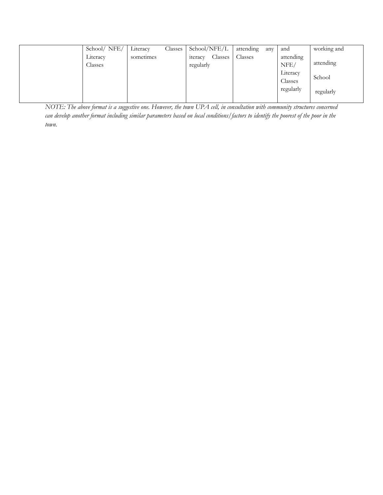| School/ NFE/        | Literacy  | Classes | School/NFE/L                            | attending | any | and                 | working and |
|---------------------|-----------|---------|-----------------------------------------|-----------|-----|---------------------|-------------|
| Literacy<br>Classes | sometimes |         | Classes<br><i>s</i> teracy<br>regularly | Classes   |     | attending<br>NFE/   | attending   |
|                     |           |         |                                         |           |     | Literacy<br>Classes | School      |
|                     |           |         |                                         |           |     | regularly           | regularly   |

*NOTE: The above format is a suggestive one. However, the town UPA cell, in consultation with community structures concerned can develop another format including similar parameters based on local conditions/factors to identify the poorest of the poor in the town.*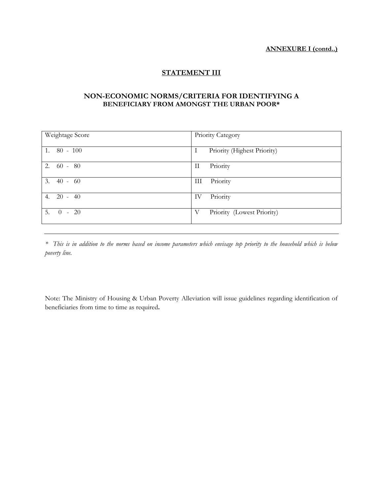#### **ANNEXURE I (contd..)**

## **STATEMENT III**

### **NON-ECONOMIC NORMS/CRITERIA FOR IDENTIFYING A BENEFICIARY FROM AMONGST THE URBAN POOR\***

| Weightage Score | Priority Category                |
|-----------------|----------------------------------|
| $1.80 - 100$    | Priority (Highest Priority)<br>Ι |
| $2.60 - 80$     | Priority<br>П                    |
| 3.<br>$40 - 60$ | Priority<br>Ш                    |
| 4. 20 - 40      | Priority<br>IV                   |
| $5. 0 - 20$     | Priority (Lowest Priority)<br>V  |

*\* This is in addition to the norms based on income parameters which envisage top priority to the household which is below poverty line.* 

Note: The Ministry of Housing & Urban Poverty Alleviation will issue guidelines regarding identification of beneficiaries from time to time as required**.**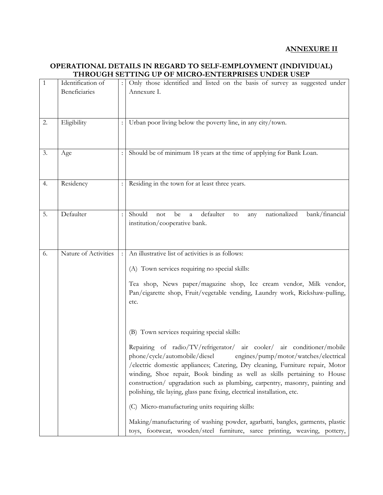## **ANNEXURE II**

### **OPERATIONAL DETAILS IN REGARD TO SELF-EMPLOYMENT (INDIVIDUAL) THROUGH SETTING UP OF MICRO-ENTERPRISES UNDER USEP**

| $\mathbf{1}$ | Identification of    | Only those identified and listed on the basis of survey as suggested under           |
|--------------|----------------------|--------------------------------------------------------------------------------------|
|              | Beneficiaries        | Annexure I.                                                                          |
|              |                      |                                                                                      |
|              |                      |                                                                                      |
|              |                      |                                                                                      |
| 2.           | Eligibility          | Urban poor living below the poverty line, in any city/town.                          |
|              |                      |                                                                                      |
|              |                      |                                                                                      |
| 3.           | Age                  | Should be of minimum 18 years at the time of applying for Bank Loan.                 |
|              |                      |                                                                                      |
|              |                      |                                                                                      |
| 4.           | Residency            | Residing in the town for at least three years.                                       |
|              |                      |                                                                                      |
|              |                      |                                                                                      |
|              |                      |                                                                                      |
| 5.           | Defaulter            | Should<br>nationalized<br>defaulter<br>bank/financial<br>be<br>not<br>a<br>to<br>any |
|              |                      | institution/cooperative bank.                                                        |
|              |                      |                                                                                      |
|              |                      |                                                                                      |
| 6.           | Nature of Activities | An illustrative list of activities is as follows:                                    |
|              |                      |                                                                                      |
|              |                      | (A) Town services requiring no special skills:                                       |
|              |                      | Tea shop, News paper/magazine shop, Ice cream vendor, Milk vendor,                   |
|              |                      | Pan/cigarette shop, Fruit/vegetable vending, Laundry work, Rickshaw-pulling,         |
|              |                      |                                                                                      |
|              |                      | etc.                                                                                 |
|              |                      |                                                                                      |
|              |                      |                                                                                      |
|              |                      | (B) Town services requiring special skills:                                          |
|              |                      |                                                                                      |
|              |                      | Repairing of radio/TV/refrigerator/ air cooler/ air conditioner/mobile               |
|              |                      | phone/cycle/automobile/diesel engines/pump/motor/watches/electrical                  |
|              |                      | /electric domestic appliances; Catering, Dry cleaning, Furniture repair, Motor       |
|              |                      | winding, Shoe repair, Book binding as well as skills pertaining to House             |
|              |                      | construction/ upgradation such as plumbing, carpentry, masonry, painting and         |
|              |                      | polishing, tile laying, glass pane fixing, electrical installation, etc.             |
|              |                      | (C) Micro-manufacturing units requiring skills:                                      |
|              |                      | Making/manufacturing of washing powder, agarbatti, bangles, garments, plastic        |
|              |                      | toys, footwear, wooden/steel furniture, saree printing, weaving, pottery,            |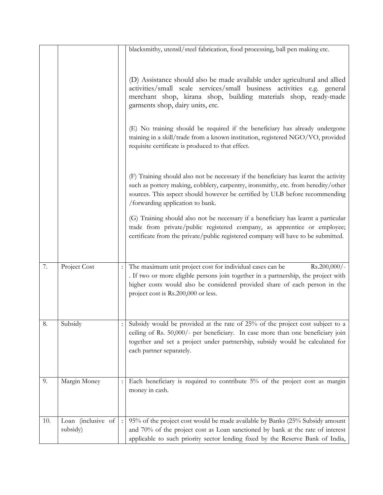|     |                    | blacksmithy, utensil/steel fabrication, food processing, ball pen making etc.                                                                                                                                                                                                                |
|-----|--------------------|----------------------------------------------------------------------------------------------------------------------------------------------------------------------------------------------------------------------------------------------------------------------------------------------|
|     |                    |                                                                                                                                                                                                                                                                                              |
|     |                    |                                                                                                                                                                                                                                                                                              |
|     |                    | (D) Assistance should also be made available under agricultural and allied<br>activities/small scale services/small business activities e.g. general                                                                                                                                         |
|     |                    | merchant shop, kirana shop, building materials shop, ready-made<br>garments shop, dairy units, etc.                                                                                                                                                                                          |
|     |                    | (E) No training should be required if the beneficiary has already undergone<br>training in a skill/trade from a known institution, registered NGO/VO, provided<br>requisite certificate is produced to that effect.                                                                          |
|     |                    | (F) Training should also not be necessary if the beneficiary has learnt the activity<br>such as pottery making, cobblery, carpentry, ironsmithy, etc. from heredity/other<br>sources. This aspect should however be certified by ULB before recommending<br>/forwarding application to bank. |
|     |                    | (G) Training should also not be necessary if a beneficiary has learnt a particular<br>trade from private/public registered company, as apprentice or employee;<br>certificate from the private/public registered company will have to be submitted.                                          |
|     |                    |                                                                                                                                                                                                                                                                                              |
| 7.  | Project Cost       | The maximum unit project cost for individual cases can be<br>$Rs.200,000/-$                                                                                                                                                                                                                  |
|     |                    | . If two or more eligible persons join together in a partnership, the project with                                                                                                                                                                                                           |
|     |                    | higher costs would also be considered provided share of each person in the<br>project cost is Rs.200,000 or less.                                                                                                                                                                            |
|     |                    |                                                                                                                                                                                                                                                                                              |
| 8.  | Subsidy            | Subsidy would be provided at the rate of 25% of the project cost subject to a                                                                                                                                                                                                                |
|     |                    | ceiling of Rs. 50,000/- per beneficiary. In case more than one beneficiary join                                                                                                                                                                                                              |
|     |                    | together and set a project under partnership, subsidy would be calculated for                                                                                                                                                                                                                |
|     |                    | each partner separately.                                                                                                                                                                                                                                                                     |
| 9.  |                    |                                                                                                                                                                                                                                                                                              |
|     | Margin Money       | Each beneficiary is required to contribute 5% of the project cost as margin<br>money in cash.                                                                                                                                                                                                |
|     |                    |                                                                                                                                                                                                                                                                                              |
| 10. | Loan (inclusive of | 95% of the project cost would be made available by Banks (25% Subsidy amount                                                                                                                                                                                                                 |
|     | subsidy)           | and 70% of the project cost as Loan sanctioned by bank at the rate of interest                                                                                                                                                                                                               |
|     |                    | applicable to such priority sector lending fixed by the Reserve Bank of India,                                                                                                                                                                                                               |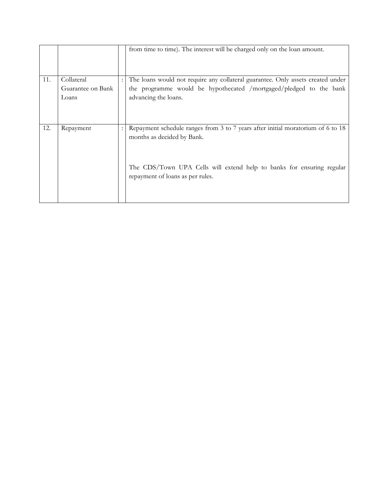|     |                   | from time to time). The interest will be charged only on the loan amount.                                 |
|-----|-------------------|-----------------------------------------------------------------------------------------------------------|
| 11. | Collateral        | The loans would not require any collateral guarantee. Only assets created under                           |
|     | Guarantee on Bank | the programme would be hypothecated /mortgaged/pledged to the bank                                        |
|     | Loans             | advancing the loans.                                                                                      |
|     |                   |                                                                                                           |
| 12. | Repayment         | Repayment schedule ranges from 3 to 7 years after initial moratorium of 6 to 18                           |
|     |                   | months as decided by Bank.                                                                                |
|     |                   | The CDS/Town UPA Cells will extend help to banks for ensuring regular<br>repayment of loans as per rules. |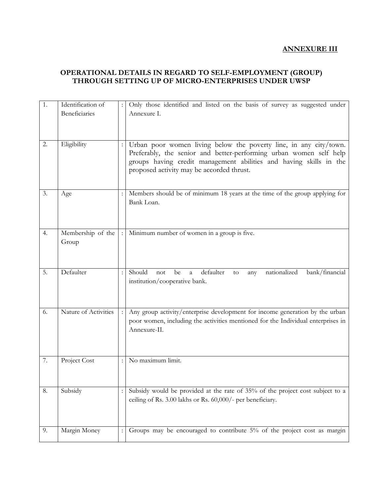## **ANNEXURE III**

## **OPERATIONAL DETAILS IN REGARD TO SELF-EMPLOYMENT (GROUP) THROUGH SETTING UP OF MICRO-ENTERPRISES UNDER UWSP**

| 1. | Identification of<br>Beneficiaries |                | Only those identified and listed on the basis of survey as suggested under<br>Annexure I.                                                                                                                                                                  |
|----|------------------------------------|----------------|------------------------------------------------------------------------------------------------------------------------------------------------------------------------------------------------------------------------------------------------------------|
| 2. | Eligibility                        |                | Urban poor women living below the poverty line, in any city/town.<br>Preferably, the senior and better-performing urban women self help<br>groups having credit management abilities and having skills in the<br>proposed activity may be accorded thrust. |
| 3. | Age                                |                | Members should be of minimum 18 years at the time of the group applying for<br>Bank Loan.                                                                                                                                                                  |
| 4. | Membership of the<br>Group         | $\cdot$        | Minimum number of women in a group is five.                                                                                                                                                                                                                |
| 5. | Defaulter                          | $\ddot{\cdot}$ | Should<br>defaulter<br>nationalized<br>bank/financial<br>not<br>be<br>a<br>to<br>any<br>institution/cooperative bank.                                                                                                                                      |
| 6. | Nature of Activities               |                | Any group activity/enterprise development for income generation by the urban<br>poor women, including the activities mentioned for the Individual enterprises in<br>Annexure-II.                                                                           |
| 7. | Project Cost                       | $\ddot{\cdot}$ | No maximum limit.                                                                                                                                                                                                                                          |
| 8. | Subsidy                            |                | Subsidy would be provided at the rate of 35% of the project cost subject to a<br>ceiling of Rs. 3.00 lakhs or Rs. 60,000/- per beneficiary.                                                                                                                |
| 9. | Margin Money                       | $\ddot{\cdot}$ | Groups may be encouraged to contribute 5% of the project cost as margin                                                                                                                                                                                    |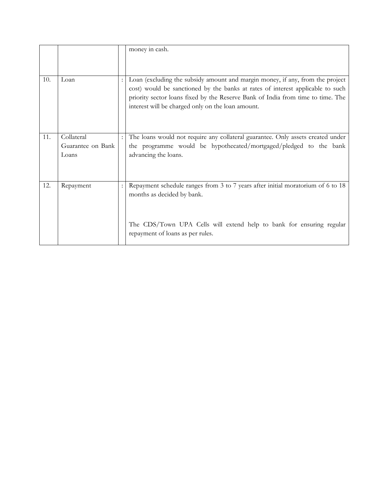|     |                   | money in cash.                                                                                                                                                                                                                                                                                          |
|-----|-------------------|---------------------------------------------------------------------------------------------------------------------------------------------------------------------------------------------------------------------------------------------------------------------------------------------------------|
| 10. | Loan              | Loan (excluding the subsidy amount and margin money, if any, from the project<br>cost) would be sanctioned by the banks at rates of interest applicable to such<br>priority sector loans fixed by the Reserve Bank of India from time to time. The<br>interest will be charged only on the loan amount. |
| 11. | Collateral        | The loans would not require any collateral guarantee. Only assets created under                                                                                                                                                                                                                         |
|     | Guarantee on Bank | the programme would be hypothecated/mortgaged/pledged to the bank                                                                                                                                                                                                                                       |
|     | Loans             | advancing the loans.                                                                                                                                                                                                                                                                                    |
| 12. | Repayment         | Repayment schedule ranges from 3 to 7 years after initial moratorium of 6 to 18                                                                                                                                                                                                                         |
|     |                   | months as decided by bank.<br>The CDS/Town UPA Cells will extend help to bank for ensuring regular                                                                                                                                                                                                      |
|     |                   | repayment of loans as per rules.                                                                                                                                                                                                                                                                        |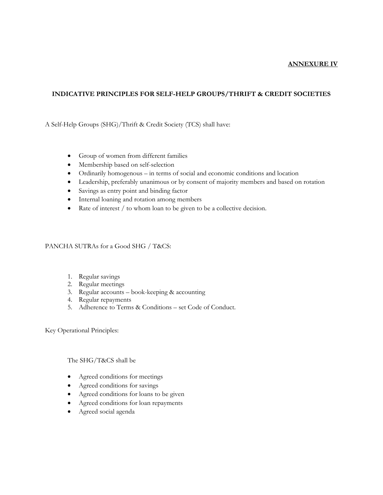#### **ANNEXURE IV**

### **INDICATIVE PRINCIPLES FOR SELF-HELP GROUPS/THRIFT & CREDIT SOCIETIES**

A Self-Help Groups (SHG)/Thrift & Credit Society (TCS) shall have:

- Group of women from different families
- Membership based on self-selection
- Ordinarily homogenous in terms of social and economic conditions and location
- Leadership, preferably unanimous or by consent of majority members and based on rotation
- Savings as entry point and binding factor
- Internal loaning and rotation among members
- Rate of interest / to whom loan to be given to be a collective decision.

#### PANCHA SUTRAs for a Good SHG / T&CS:

- 1. Regular savings
- 2. Regular meetings
- 3. Regular accounts book-keeping & accounting
- 4. Regular repayments
- 5. Adherence to Terms & Conditions set Code of Conduct.

Key Operational Principles:

#### The SHG/T&CS shall be

- Agreed conditions for meetings
- Agreed conditions for savings
- Agreed conditions for loans to be given
- Agreed conditions for loan repayments
- Agreed social agenda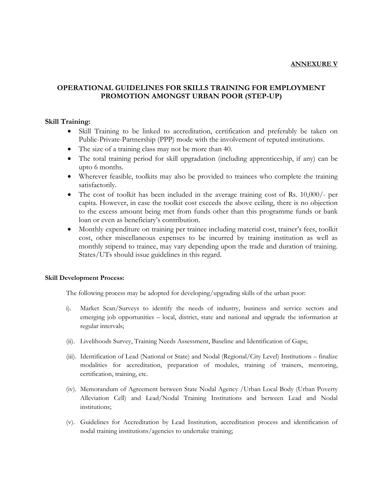#### **ANNEXURE V**

## **OPERATIONAL GUIDELINES FOR SKILLS TRAINING FOR EMPLOYMENT PROMOTION AMONGST URBAN POOR (STEP-UP)**

#### **Skill Training:**

- Skill Training to be linked to accreditation, certification and preferably be taken on Public-Private-Partnership (PPP) mode with the involvement of reputed institutions.
- The size of a training class may not be more than 40.
- The total training period for skill upgradation (including apprenticeship, if any) can be upto 6 months.
- Wherever feasible, toolkits may also be provided to trainees who complete the training satisfactorily.
- The cost of toolkit has been included in the average training cost of Rs. 10,000/- per capita. However, in case the toolkit cost exceeds the above ceiling, there is no objection to the excess amount being met from funds other than this programme funds or bank loan or even as beneficiary's contribution.
- Monthly expenditure on training per trainee including material cost, trainer's fees, toolkit cost, other miscellaneous expenses to be incurred by training institution as well as monthly stipend to trainee, may vary depending upon the trade and duration of training. States/UTs should issue guidelines in this regard.

#### **Skill Development Process:**

The following process may be adopted for developing/upgrading skills of the urban poor:

- i). Market Scan/Surveys to identify the needs of industry, business and service sectors and emerging job opportunities – local, district, state and national and upgrade the information at regular intervals;
- (ii). Livelihoods Survey, Training Needs Assessment, Baseline and Identification of Gaps;
- (iii). Identification of Lead (National or State) and Nodal (Regional/City Level) Institutions finalize modalities for accreditation, preparation of modules, training of trainers, mentoring, certification, training, etc.
- (iv). Memorandum of Agreement between State Nodal Agency /Urban Local Body (Urban Poverty Alleviation Cell) and Lead/Nodal Training Institutions and between Lead and Nodal institutions;
- (v). Guidelines for Accreditation by Lead Institution, accreditation process and identification of nodal training institutions/agencies to undertake training;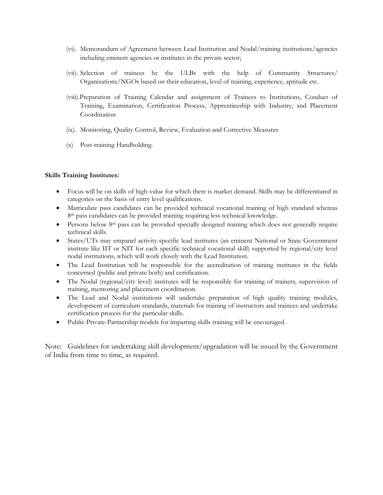- (vi). Memorandum of Agreement between Lead Institution and Nodal/training institutions/agencies including eminent agencies or institutes in the private sector;
- (vii). Selection of trainees by the ULBs with the help of Community Structures/ Organisations/NGOs based on their education, level of training, experience, aptitude etc.
- (viii).Preparation of Training Calendar and assignment of Trainees to Institutions, Conduct of Training, Examination, Certification Process, Apprenticeship with Industry; and Placement Coordination
- (ix). Monitoring, Quality Control, Review, Evaluation and Corrective Measures
- (x) Post-training Handholding.

#### **Skills Training Institutes:**

- Focus will be on skills of high-value for which there is market demand. Skills may be differentiated in categories on the basis of entry level qualifications.
- Matriculate pass candidates can be provided technical vocational training of high standard whereas 8<sup>th</sup> pass candidates can be provided training requiring less technical knowledge.
- Persons below  $8<sup>th</sup>$  pass can be provided specially designed training which does not generally require technical skills.
- States/UTs may empanel activity-specific lead institutes (an eminent National or State Government institute like IIT or NIT for each specific technical vocational skill) supported by regional/city level nodal institutions, which will work closely with the Lead Institution.
- The Lead Institution will be responsible for the accreditation of training institutes in the fields concerned (public and private both) and certification.
- The Nodal (regional/city level) institutes will be responsible for training of trainers, supervision of training, mentoring and placement coordination.
- The Lead and Nodal institutions will undertake preparation of high quality training modules, development of curriculum standards, materials for training of instructors and trainees and undertake certification process for the particular skills.
- Public-Private-Partnership models for imparting skills training will be encouraged.

Note: Guidelines for undertaking skill development/upgradation will be issued by the Government of India from time to time, as required.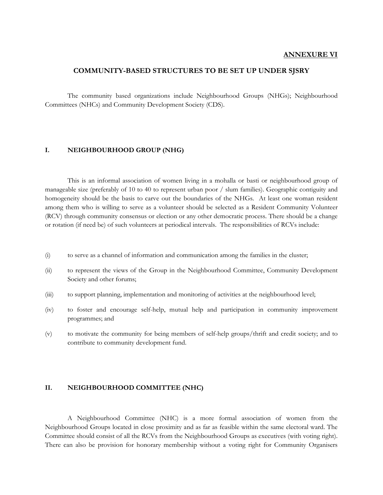#### **ANNEXURE VI**

### **COMMUNITY-BASED STRUCTURES TO BE SET UP UNDER SJSRY**

 The community based organizations include Neighbourhood Groups (NHGs); Neighbourhood Committees (NHCs) and Community Development Society (CDS).

#### **I. NEIGHBOURHOOD GROUP (NHG)**

 This is an informal association of women living in a mohalla or basti or neighbourhood group of manageable size (preferably of 10 to 40 to represent urban poor / slum families). Geographic contiguity and homogeneity should be the basis to carve out the boundaries of the NHGs. At least one woman resident among them who is willing to serve as a volunteer should be selected as a Resident Community Volunteer (RCV) through community consensus or election or any other democratic process. There should be a change or rotation (if need be) of such volunteers at periodical intervals. The responsibilities of RCVs include:

- (i) to serve as a channel of information and communication among the families in the cluster;
- (ii) to represent the views of the Group in the Neighbourhood Committee, Community Development Society and other forums;
- (iii) to support planning, implementation and monitoring of activities at the neighbourhood level;
- (iv) to foster and encourage self-help, mutual help and participation in community improvement programmes; and
- (v) to motivate the community for being members of self-help groups/thrift and credit society; and to contribute to community development fund.

#### **II. NEIGHBOURHOOD COMMITTEE (NHC)**

 A Neighbourhood Committee (NHC) is a more formal association of women from the Neighbourhood Groups located in close proximity and as far as feasible within the same electoral ward. The Committee should consist of all the RCVs from the Neighbourhood Groups as executives (with voting right). There can also be provision for honorary membership without a voting right for Community Organisers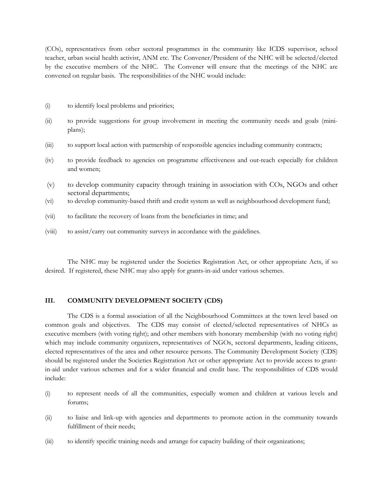(COs), representatives from other sectoral programmes in the community like ICDS supervisor, school teacher, urban social health activist, ANM etc. The Convener/President of the NHC will be selected/elected by the executive members of the NHC. The Convener will ensure that the meetings of the NHC are convened on regular basis. The responsibilities of the NHC would include:

- (i) to identify local problems and priorities;
- (ii) to provide suggestions for group involvement in meeting the community needs and goals (miniplans);
- (iii) to support local action with partnership of responsible agencies including community contracts;
- (iv) to provide feedback to agencies on programme effectiveness and out-reach especially for children and women;
- (v) to develop community capacity through training in association with COs, NGOs and other sectoral departments;
- (vi) to develop community-based thrift and credit system as well as neighbourhood development fund;
- (vii) to facilitate the recovery of loans from the beneficiaries in time; and
- (viii) to assist/carry out community surveys in accordance with the guidelines.

 The NHC may be registered under the Societies Registration Act, or other appropriate Acts, if so desired. If registered, these NHC may also apply for grants-in-aid under various schemes.

#### **III. COMMUNITY DEVELOPMENT SOCIETY (CDS)**

 The CDS is a formal association of all the Neighbourhood Committees at the town level based on common goals and objectives. The CDS may consist of elected/selected representatives of NHCs as executive members (with voting right); and other members with honorary membership (with no voting right) which may include community organizers, representatives of NGOs, sectoral departments, leading citizens, elected representatives of the area and other resource persons. The Community Development Society (CDS) should be registered under the Societies Registration Act or other appropriate Act to provide access to grantin-aid under various schemes and for a wider financial and credit base. The responsibilities of CDS would include:

- (i) to represent needs of all the communities, especially women and children at various levels and forums;
- (ii) to liaise and link-up with agencies and departments to promote action in the community towards fulfillment of their needs;
- (iii) to identify specific training needs and arrange for capacity building of their organizations;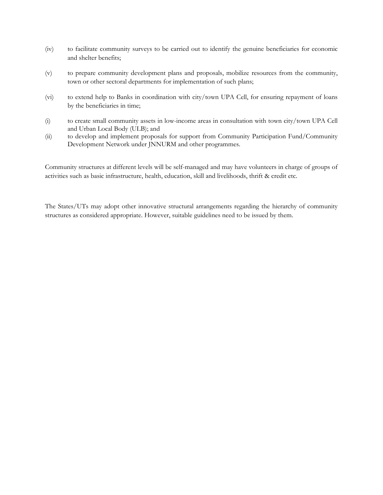- (iv) to facilitate community surveys to be carried out to identify the genuine beneficiaries for economic and shelter benefits;
- (v) to prepare community development plans and proposals, mobilize resources from the community, town or other sectoral departments for implementation of such plans;
- (vi) to extend help to Banks in coordination with city/town UPA Cell, for ensuring repayment of loans by the beneficiaries in time;
- (i) to create small community assets in low-income areas in consultation with town city/town UPA Cell and Urban Local Body (ULB); and
- (ii) to develop and implement proposals for support from Community Participation Fund/Community Development Network under JNNURM and other programmes.

Community structures at different levels will be self-managed and may have volunteers in charge of groups of activities such as basic infrastructure, health, education, skill and livelihoods, thrift & credit etc.

The States/UTs may adopt other innovative structural arrangements regarding the hierarchy of community structures as considered appropriate. However, suitable guidelines need to be issued by them.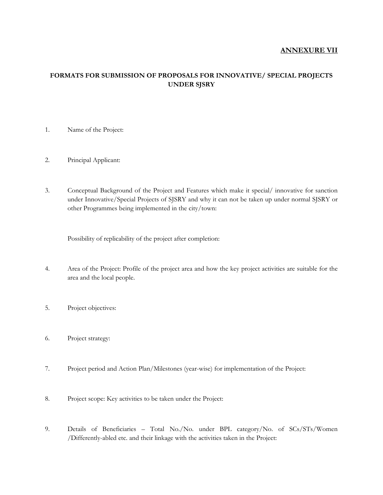### **ANNEXURE VII**

## **FORMATS FOR SUBMISSION OF PROPOSALS FOR INNOVATIVE/ SPECIAL PROJECTS UNDER SJSRY**

- 1. Name of the Project:
- 2. Principal Applicant:
- 3. Conceptual Background of the Project and Features which make it special/ innovative for sanction under Innovative/Special Projects of SJSRY and why it can not be taken up under normal SJSRY or other Programmes being implemented in the city/town:

Possibility of replicability of the project after completion:

- 4. Area of the Project: Profile of the project area and how the key project activities are suitable for the area and the local people.
- 5. Project objectives:
- 6. Project strategy:
- 7. Project period and Action Plan/Milestones (year-wise) for implementation of the Project:
- 8. Project scope: Key activities to be taken under the Project:
- 9. Details of Beneficiaries Total No./No. under BPL category/No. of SCs/STs/Women /Differently-abled etc. and their linkage with the activities taken in the Project: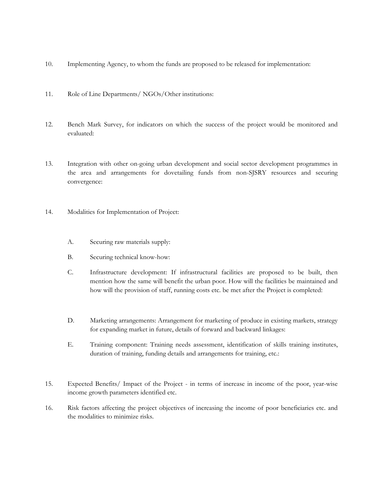- 10. Implementing Agency, to whom the funds are proposed to be released for implementation:
- 11. Role of Line Departments/ NGOs/Other institutions:
- 12. Bench Mark Survey, for indicators on which the success of the project would be monitored and evaluated:
- 13. Integration with other on-going urban development and social sector development programmes in the area and arrangements for dovetailing funds from non-SJSRY resources and securing convergence:
- 14. Modalities for Implementation of Project:
	- A. Securing raw materials supply:
	- B. Securing technical know-how:
	- C. Infrastructure development: If infrastructural facilities are proposed to be built, then mention how the same will benefit the urban poor. How will the facilities be maintained and how will the provision of staff, running costs etc. be met after the Project is completed:
	- D. Marketing arrangements: Arrangement for marketing of produce in existing markets, strategy for expanding market in future, details of forward and backward linkages:
	- E. Training component: Training needs assessment, identification of skills training institutes, duration of training, funding details and arrangements for training, etc.:
- 15. Expected Benefits/ Impact of the Project in terms of increase in income of the poor, year-wise income growth parameters identified etc.
- 16. Risk factors affecting the project objectives of increasing the income of poor beneficiaries etc. and the modalities to minimize risks.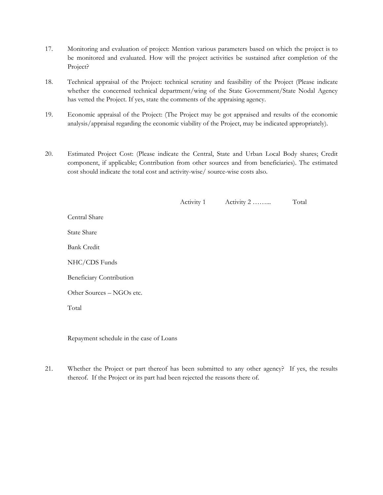- 17. Monitoring and evaluation of project: Mention various parameters based on which the project is to be monitored and evaluated. How will the project activities be sustained after completion of the Project?
- 18. Technical appraisal of the Project: technical scrutiny and feasibility of the Project (Please indicate whether the concerned technical department/wing of the State Government/State Nodal Agency has vetted the Project. If yes, state the comments of the appraising agency.
- 19. Economic appraisal of the Project: (The Project may be got appraised and results of the economic analysis/appraisal regarding the economic viability of the Project, may be indicated appropriately).
- 20. Estimated Project Cost: (Please indicate the Central, State and Urban Local Body shares; Credit component, if applicable; Contribution from other sources and from beneficiaries). The estimated cost should indicate the total cost and activity-wise/ source-wise costs also.

|       |                           | Activity 1 | Activity 2 | Total |
|-------|---------------------------|------------|------------|-------|
|       | Central Share             |            |            |       |
|       | <b>State Share</b>        |            |            |       |
|       | <b>Bank Credit</b>        |            |            |       |
|       | NHC/CDS Funds             |            |            |       |
|       | Beneficiary Contribution  |            |            |       |
|       | Other Sources – NGOs etc. |            |            |       |
| Total |                           |            |            |       |

Repayment schedule in the case of Loans

21. Whether the Project or part thereof has been submitted to any other agency? If yes, the results thereof. If the Project or its part had been rejected the reasons there of.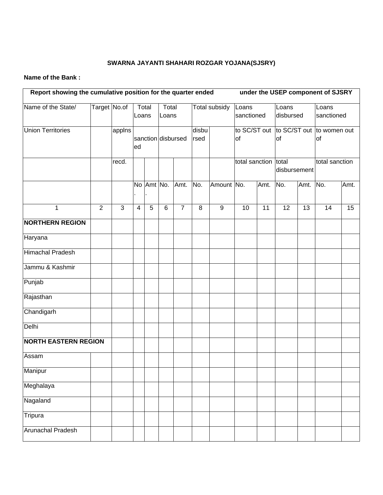# **SWARNA JAYANTI SHAHARI ROZGAR YOJANA(SJSRY)**

### **Name of the Bank :**

| Report showing the cumulative position for the quarter ended |                |              |    |                |                    |                | under the USEP component of SJSRY |                  |                      |                     |                                                     |                    |                |                     |  |
|--------------------------------------------------------------|----------------|--------------|----|----------------|--------------------|----------------|-----------------------------------|------------------|----------------------|---------------------|-----------------------------------------------------|--------------------|----------------|---------------------|--|
| Name of the State/                                           | Target No.of   |              |    | Total<br>Loans |                    | Total<br>Loans |                                   |                  | <b>Total subsidy</b> | Loans<br>sanctioned |                                                     | Loans<br>disbursed |                | Loans<br>sanctioned |  |
| <b>Union Territories</b>                                     |                | applns       | ed |                | sanction disbursed |                | disbu<br>rsed                     |                  | of                   |                     | to SC/ST out to SC/ST out to women out<br><b>of</b> |                    | of             |                     |  |
|                                                              |                | recd.        |    |                |                    |                |                                   |                  | total sanction total |                     | disbursement                                        |                    | total sanction |                     |  |
|                                                              |                |              |    | No Amt No.     |                    | Amt.           | No.                               | Amount No.       |                      | Amt.                | No.                                                 | Amt.               | No.            | Amt.                |  |
| $\mathbf 1$                                                  | $\overline{2}$ | $\mathbf{3}$ | 4  | 5              | 6                  | $\overline{7}$ | 8                                 | $\boldsymbol{9}$ | 10                   | 11                  | 12                                                  | 13                 | 14             | 15                  |  |
| <b>NORTHERN REGION</b>                                       |                |              |    |                |                    |                |                                   |                  |                      |                     |                                                     |                    |                |                     |  |
| Haryana                                                      |                |              |    |                |                    |                |                                   |                  |                      |                     |                                                     |                    |                |                     |  |
| <b>Himachal Pradesh</b>                                      |                |              |    |                |                    |                |                                   |                  |                      |                     |                                                     |                    |                |                     |  |
| Jammu & Kashmir                                              |                |              |    |                |                    |                |                                   |                  |                      |                     |                                                     |                    |                |                     |  |
| Punjab                                                       |                |              |    |                |                    |                |                                   |                  |                      |                     |                                                     |                    |                |                     |  |
| Rajasthan                                                    |                |              |    |                |                    |                |                                   |                  |                      |                     |                                                     |                    |                |                     |  |
| Chandigarh                                                   |                |              |    |                |                    |                |                                   |                  |                      |                     |                                                     |                    |                |                     |  |
| Delhi                                                        |                |              |    |                |                    |                |                                   |                  |                      |                     |                                                     |                    |                |                     |  |
| <b>NORTH EASTERN REGION</b>                                  |                |              |    |                |                    |                |                                   |                  |                      |                     |                                                     |                    |                |                     |  |
| Assam                                                        |                |              |    |                |                    |                |                                   |                  |                      |                     |                                                     |                    |                |                     |  |
| Manipur                                                      |                |              |    |                |                    |                |                                   |                  |                      |                     |                                                     |                    |                |                     |  |
| Meghalaya                                                    |                |              |    |                |                    |                |                                   |                  |                      |                     |                                                     |                    |                |                     |  |
| Nagaland                                                     |                |              |    |                |                    |                |                                   |                  |                      |                     |                                                     |                    |                |                     |  |
| Tripura                                                      |                |              |    |                |                    |                |                                   |                  |                      |                     |                                                     |                    |                |                     |  |
| <b>Arunachal Pradesh</b>                                     |                |              |    |                |                    |                |                                   |                  |                      |                     |                                                     |                    |                |                     |  |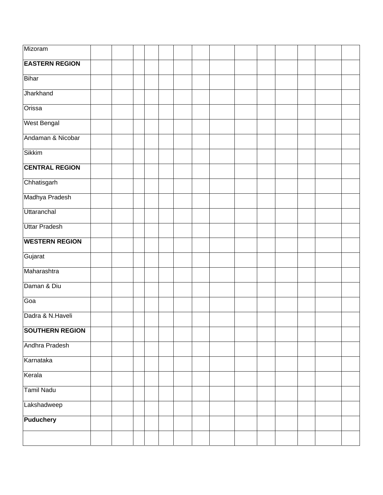| Mizoram                |  |  |  |  |  |  |  |
|------------------------|--|--|--|--|--|--|--|
| <b>EASTERN REGION</b>  |  |  |  |  |  |  |  |
| <b>Bihar</b>           |  |  |  |  |  |  |  |
| Jharkhand              |  |  |  |  |  |  |  |
| Orissa                 |  |  |  |  |  |  |  |
| <b>West Bengal</b>     |  |  |  |  |  |  |  |
| Andaman & Nicobar      |  |  |  |  |  |  |  |
| <b>Sikkim</b>          |  |  |  |  |  |  |  |
| <b>CENTRAL REGION</b>  |  |  |  |  |  |  |  |
| Chhatisgarh            |  |  |  |  |  |  |  |
| Madhya Pradesh         |  |  |  |  |  |  |  |
| Uttaranchal            |  |  |  |  |  |  |  |
| <b>Uttar Pradesh</b>   |  |  |  |  |  |  |  |
| <b>WESTERN REGION</b>  |  |  |  |  |  |  |  |
| Gujarat                |  |  |  |  |  |  |  |
| Maharashtra            |  |  |  |  |  |  |  |
| Daman & Diu            |  |  |  |  |  |  |  |
| Goa                    |  |  |  |  |  |  |  |
| Dadra & N.Haveli       |  |  |  |  |  |  |  |
| <b>SOUTHERN REGION</b> |  |  |  |  |  |  |  |
| Andhra Pradesh         |  |  |  |  |  |  |  |
| Karnataka              |  |  |  |  |  |  |  |
| Kerala                 |  |  |  |  |  |  |  |
| <b>Tamil Nadu</b>      |  |  |  |  |  |  |  |
| Lakshadweep            |  |  |  |  |  |  |  |
| <b>Puduchery</b>       |  |  |  |  |  |  |  |
|                        |  |  |  |  |  |  |  |
|                        |  |  |  |  |  |  |  |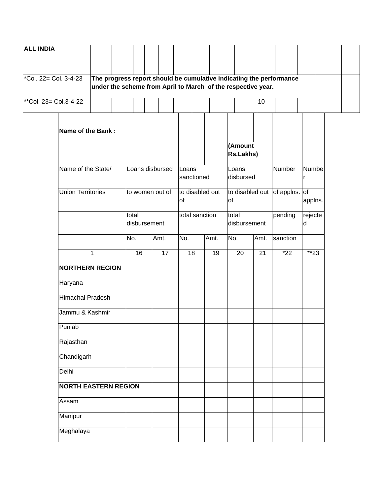| <b>ALL INDIA</b>      |                             |                                                              |  |                       |                 |       |                 |      |                                     |         |                 |                                                                     |            |  |
|-----------------------|-----------------------------|--------------------------------------------------------------|--|-----------------------|-----------------|-------|-----------------|------|-------------------------------------|---------|-----------------|---------------------------------------------------------------------|------------|--|
| *Col. 22= Col. 3-4-23 |                             | under the scheme from April to March of the respective year. |  |                       |                 |       |                 |      |                                     |         |                 | The progress report should be cumulative indicating the performance |            |  |
| **Col. 23= Col.3-4-22 |                             |                                                              |  |                       |                 |       |                 |      |                                     |         | $\overline{10}$ |                                                                     |            |  |
|                       | Name of the Bank:           |                                                              |  |                       |                 |       |                 |      |                                     | (Amount |                 |                                                                     |            |  |
|                       |                             |                                                              |  |                       |                 |       |                 |      | <b>Rs.Lakhs)</b>                    |         |                 |                                                                     |            |  |
|                       | Name of the State/          |                                                              |  |                       | Loans disbursed | Loans | sanctioned      |      | Loans<br>disbursed                  |         |                 | Number                                                              | Numbe<br>r |  |
|                       | <b>Union Territories</b>    |                                                              |  |                       | to women out of | of    | to disabled out |      | to disabled out of applns. of<br>of |         |                 |                                                                     | applns.    |  |
|                       |                             |                                                              |  | total<br>disbursement |                 |       | total sanction  |      | total<br>disbursement               |         | pending         | rejecte<br>d                                                        |            |  |
|                       |                             |                                                              |  | No.                   | Amt.            | No.   |                 | Amt. | No.                                 |         | Amt.            | sanction                                                            |            |  |
|                       |                             | 1                                                            |  | 16                    | 17              |       | 18              | 19   | 20                                  |         | $\overline{21}$ | $*22$                                                               | $*23$      |  |
|                       | <b>NORTHERN REGION</b>      |                                                              |  |                       |                 |       |                 |      |                                     |         |                 |                                                                     |            |  |
|                       | Haryana                     |                                                              |  |                       |                 |       |                 |      |                                     |         |                 |                                                                     |            |  |
|                       | <b>Himachal Pradesh</b>     |                                                              |  |                       |                 |       |                 |      |                                     |         |                 |                                                                     |            |  |
|                       | Jammu & Kashmir             |                                                              |  |                       |                 |       |                 |      |                                     |         |                 |                                                                     |            |  |
|                       | Punjab                      |                                                              |  |                       |                 |       |                 |      |                                     |         |                 |                                                                     |            |  |
|                       | Rajasthan                   |                                                              |  |                       |                 |       |                 |      |                                     |         |                 |                                                                     |            |  |
|                       | Chandigarh                  |                                                              |  |                       |                 |       |                 |      |                                     |         |                 |                                                                     |            |  |
|                       | Delhi                       |                                                              |  |                       |                 |       |                 |      |                                     |         |                 |                                                                     |            |  |
|                       | <b>NORTH EASTERN REGION</b> |                                                              |  |                       |                 |       |                 |      |                                     |         |                 |                                                                     |            |  |
|                       | Assam                       |                                                              |  |                       |                 |       |                 |      |                                     |         |                 |                                                                     |            |  |
|                       | Manipur                     |                                                              |  |                       |                 |       |                 |      |                                     |         |                 |                                                                     |            |  |
|                       | Meghalaya                   |                                                              |  |                       |                 |       |                 |      |                                     |         |                 |                                                                     |            |  |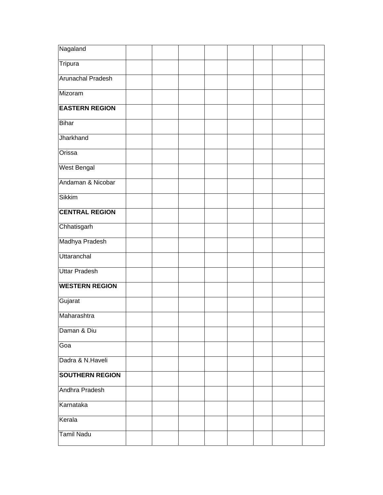| Nagaland                 |  |  |  |  |
|--------------------------|--|--|--|--|
| Tripura                  |  |  |  |  |
| <b>Arunachal Pradesh</b> |  |  |  |  |
| Mizoram                  |  |  |  |  |
| <b>EASTERN REGION</b>    |  |  |  |  |
| Bihar                    |  |  |  |  |
| Jharkhand                |  |  |  |  |
| Orissa                   |  |  |  |  |
| <b>West Bengal</b>       |  |  |  |  |
| Andaman & Nicobar        |  |  |  |  |
| Sikkim                   |  |  |  |  |
| <b>CENTRAL REGION</b>    |  |  |  |  |
| Chhatisgarh              |  |  |  |  |
| Madhya Pradesh           |  |  |  |  |
| <b>Uttaranchal</b>       |  |  |  |  |
| <b>Uttar Pradesh</b>     |  |  |  |  |
| <b>WESTERN REGION</b>    |  |  |  |  |
| Gujarat                  |  |  |  |  |
| Maharashtra              |  |  |  |  |
| Daman & Diu              |  |  |  |  |
| Goa                      |  |  |  |  |
| Dadra & N.Haveli         |  |  |  |  |
| <b>SOUTHERN REGION</b>   |  |  |  |  |
| Andhra Pradesh           |  |  |  |  |
| Karnataka                |  |  |  |  |
| Kerala                   |  |  |  |  |
| <b>Tamil Nadu</b>        |  |  |  |  |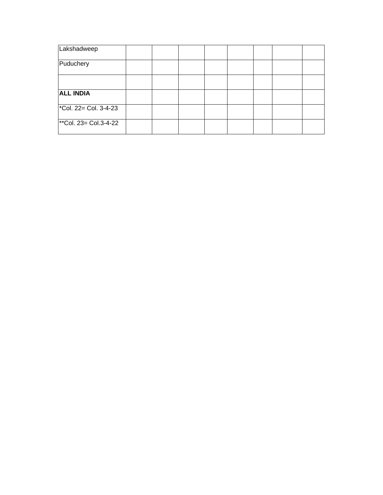| Lakshadweep              |  |  |  |  |
|--------------------------|--|--|--|--|
| Puduchery                |  |  |  |  |
|                          |  |  |  |  |
| <b>ALL INDIA</b>         |  |  |  |  |
| *Col. $22 =$ Col. 3-4-23 |  |  |  |  |
| **Col. $23 =$ Col.3-4-22 |  |  |  |  |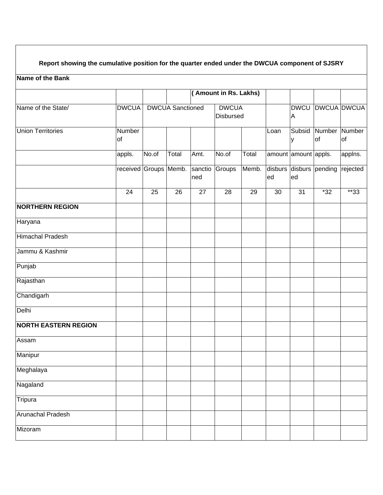## **Report showing the cumulative position for the quarter ended under the DWCUA component of SJSRY**

## **Name of the Bank**

| Name of the State/          | <b>DWCUA</b>          |       | <b>DWCUA</b> Sanctioned |                 | <b>DWCUA</b><br>Disbursed |       |      | <b>DWCU</b><br>Α     |                         | <b>DWCUA DWCUA</b> |
|-----------------------------|-----------------------|-------|-------------------------|-----------------|---------------------------|-------|------|----------------------|-------------------------|--------------------|
| <b>Union Territories</b>    | Number<br><b>of</b>   |       |                         |                 |                           |       | Loan | Subsid<br>у          | Number Number<br>of     | <b>of</b>          |
|                             | appls.                | No.of | Total                   | Amt.            | No.of                     | Total |      | amount amount appls. |                         | applns.            |
|                             | received Groups Memb. |       |                         | sanctio<br>ned  | Groups                    | Memb. | ed   | ed                   | disburs disburs pending | rejected           |
|                             | 24                    | 25    | $\overline{26}$         | $\overline{27}$ | $\overline{28}$           | 29    | 30   | $\overline{31}$      | $*32$                   | $*33$              |
| <b>NORTHERN REGION</b>      |                       |       |                         |                 |                           |       |      |                      |                         |                    |
| Haryana                     |                       |       |                         |                 |                           |       |      |                      |                         |                    |
| <b>Himachal Pradesh</b>     |                       |       |                         |                 |                           |       |      |                      |                         |                    |
| Jammu & Kashmir             |                       |       |                         |                 |                           |       |      |                      |                         |                    |
| Punjab                      |                       |       |                         |                 |                           |       |      |                      |                         |                    |
| Rajasthan                   |                       |       |                         |                 |                           |       |      |                      |                         |                    |
| Chandigarh                  |                       |       |                         |                 |                           |       |      |                      |                         |                    |
| Delhi                       |                       |       |                         |                 |                           |       |      |                      |                         |                    |
| <b>NORTH EASTERN REGION</b> |                       |       |                         |                 |                           |       |      |                      |                         |                    |
| Assam                       |                       |       |                         |                 |                           |       |      |                      |                         |                    |
| Manipur                     |                       |       |                         |                 |                           |       |      |                      |                         |                    |
| Meghalaya                   |                       |       |                         |                 |                           |       |      |                      |                         |                    |
| Nagaland                    |                       |       |                         |                 |                           |       |      |                      |                         |                    |
| Tripura                     |                       |       |                         |                 |                           |       |      |                      |                         |                    |
| <b>Arunachal Pradesh</b>    |                       |       |                         |                 |                           |       |      |                      |                         |                    |
| Mizoram                     |                       |       |                         |                 |                           |       |      |                      |                         |                    |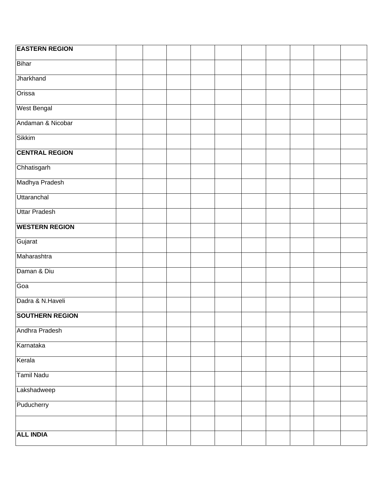| <b>EASTERN REGION</b>  |  |  |  |  |  |
|------------------------|--|--|--|--|--|
| Bihar                  |  |  |  |  |  |
| Jharkhand              |  |  |  |  |  |
| Orissa                 |  |  |  |  |  |
| <b>West Bengal</b>     |  |  |  |  |  |
| Andaman & Nicobar      |  |  |  |  |  |
| <b>Sikkim</b>          |  |  |  |  |  |
| <b>CENTRAL REGION</b>  |  |  |  |  |  |
| Chhatisgarh            |  |  |  |  |  |
| Madhya Pradesh         |  |  |  |  |  |
| Uttaranchal            |  |  |  |  |  |
| <b>Uttar Pradesh</b>   |  |  |  |  |  |
| <b>WESTERN REGION</b>  |  |  |  |  |  |
| Gujarat                |  |  |  |  |  |
| Maharashtra            |  |  |  |  |  |
| Daman & Diu            |  |  |  |  |  |
| Goa                    |  |  |  |  |  |
| Dadra & N.Haveli       |  |  |  |  |  |
| <b>SOUTHERN REGION</b> |  |  |  |  |  |
| Andhra Pradesh         |  |  |  |  |  |
| Karnataka              |  |  |  |  |  |
| Kerala                 |  |  |  |  |  |
| <b>Tamil Nadu</b>      |  |  |  |  |  |
| Lakshadweep            |  |  |  |  |  |
| Puducherry             |  |  |  |  |  |
|                        |  |  |  |  |  |
| <b>ALL INDIA</b>       |  |  |  |  |  |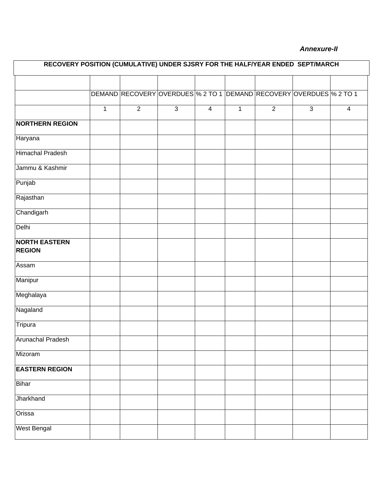## *Annexure-II*

| RECOVERY POSITION (CUMULATIVE) UNDER SJSRY FOR THE HALF/YEAR ENDED SEPT/MARCH |              |                |              |                         |              |                |                                                                     |                |  |  |  |  |  |
|-------------------------------------------------------------------------------|--------------|----------------|--------------|-------------------------|--------------|----------------|---------------------------------------------------------------------|----------------|--|--|--|--|--|
|                                                                               |              |                |              |                         |              |                |                                                                     |                |  |  |  |  |  |
|                                                                               |              |                |              |                         |              |                | DEMAND RECOVERY OVERDUES % 2 TO 1 DEMAND RECOVERY OVERDUES % 2 TO 1 |                |  |  |  |  |  |
|                                                                               | $\mathbf{1}$ | $\overline{2}$ | $\mathbf{3}$ | $\overline{\mathbf{4}}$ | $\mathbf{1}$ | $\overline{2}$ | ن                                                                   | $\overline{4}$ |  |  |  |  |  |
| <b>NORTHERN REGION</b>                                                        |              |                |              |                         |              |                |                                                                     |                |  |  |  |  |  |
| Haryana                                                                       |              |                |              |                         |              |                |                                                                     |                |  |  |  |  |  |
| <b>Himachal Pradesh</b>                                                       |              |                |              |                         |              |                |                                                                     |                |  |  |  |  |  |
| Jammu & Kashmir                                                               |              |                |              |                         |              |                |                                                                     |                |  |  |  |  |  |
| Punjab                                                                        |              |                |              |                         |              |                |                                                                     |                |  |  |  |  |  |
| Rajasthan                                                                     |              |                |              |                         |              |                |                                                                     |                |  |  |  |  |  |
| Chandigarh                                                                    |              |                |              |                         |              |                |                                                                     |                |  |  |  |  |  |
| Delhi                                                                         |              |                |              |                         |              |                |                                                                     |                |  |  |  |  |  |
| <b>NORTH EASTERN</b><br><b>REGION</b>                                         |              |                |              |                         |              |                |                                                                     |                |  |  |  |  |  |
| Assam                                                                         |              |                |              |                         |              |                |                                                                     |                |  |  |  |  |  |
| Manipur                                                                       |              |                |              |                         |              |                |                                                                     |                |  |  |  |  |  |
| Meghalaya                                                                     |              |                |              |                         |              |                |                                                                     |                |  |  |  |  |  |
| Nagaland                                                                      |              |                |              |                         |              |                |                                                                     |                |  |  |  |  |  |
| Tripura                                                                       |              |                |              |                         |              |                |                                                                     |                |  |  |  |  |  |
| <b>Arunachal Pradesh</b>                                                      |              |                |              |                         |              |                |                                                                     |                |  |  |  |  |  |
| Mizoram                                                                       |              |                |              |                         |              |                |                                                                     |                |  |  |  |  |  |
| <b>EASTERN REGION</b>                                                         |              |                |              |                         |              |                |                                                                     |                |  |  |  |  |  |
| Bihar                                                                         |              |                |              |                         |              |                |                                                                     |                |  |  |  |  |  |
| <b>Jharkhand</b>                                                              |              |                |              |                         |              |                |                                                                     |                |  |  |  |  |  |
| Orissa                                                                        |              |                |              |                         |              |                |                                                                     |                |  |  |  |  |  |
| West Bengal                                                                   |              |                |              |                         |              |                |                                                                     |                |  |  |  |  |  |